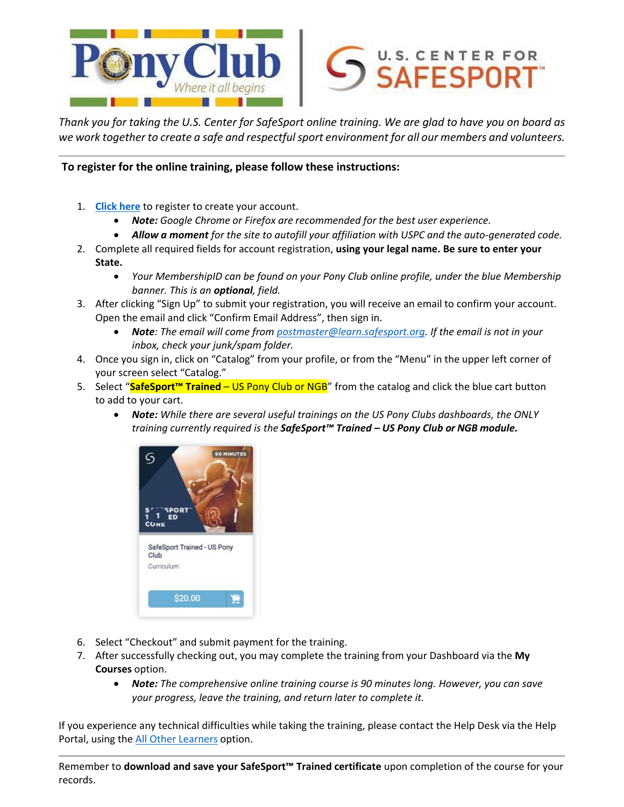

Thank you for taking the U.S. Center for SafeSport online training. We are glad to have you on board as *we work together to create a safe and respectfulsport environment for all our members and volunteers.*

**To register for the online training, please follow these instructions:**

- 1. **[Click](https://safesporttrained.org/?KeyName=FUSPC-cBV7LP) here** to register to create your account.
	- *Note: Google Chrome or Firefox are recommended for the best user experience.*
	- *Allow a moment for the site to autofill your affiliation with USPC and the auto-generated code.*
- 2. Complete all required fields for account registration, **using your legal name. Be sure to enter your State.**
	- *Your MembershipID can be found on your Pony Club online profile, under the blue Membership banner. This is an optional, field.*
- 3. After clicking "Sign Up" to submit your registration, you will receive an email to confirm your account. Open the email and click "Confirm Email Address", then sign in.
	- *Note: The email will come from [postmaster@learn.safesport.org.](mailto:postmaster@learn.safesport.org) If the email is not in your inbox, check your junk/spam folder.*
- 4. Once you sign in, click on "Catalog" from your profile, or from the "Menu" in the upper left corner of your screen select "Catalog."
- 5. Select "**SafeSport™ Trained** US Pony Club or NGB" from the catalog and click the blue cart button to add to your cart.
	- *Note: While there are several useful trainings on the US Pony Clubs dashboards, the ONLY training currently required is the SafeSport™ Trained – US Pony Club or NGB module.*



- 6. Select "Checkout" and submit payment for the training.
- 7. After successfully checking out, you may complete the training from your Dashboard via the **My Courses** option.
	- *Note: The comprehensive online training course is 90 minutes long. However, you can save your progress, leave the training, and return later to complete it.*

If you experience any technical difficulties while taking the training, please contact the Help Desk via the Help Portal, using the **[All Other](https://safesport.atlassian.net/servicedesk/customer/portal/4/group/9/create/32) Learners** option.

Remember to **download and save your SafeSport™ Trained certificate** upon completion of the course for your records.